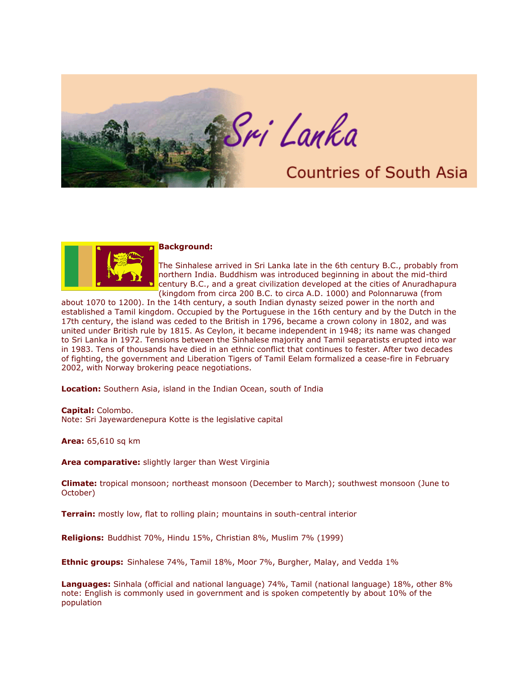



## **Background:**

The Sinhalese arrived in Sri Lanka late in the 6th century B.C., probably from northern India. Buddhism was introduced beginning in about the mid-third century B.C., and a great civilization developed at the cities of Anuradhapura (kingdom from circa 200 B.C. to circa A.D. 1000) and Polonnaruwa (from

about 1070 to 1200). In the 14th century, a south Indian dynasty seized power in the north and established a Tamil kingdom. Occupied by the Portuguese in the 16th century and by the Dutch in the 17th century, the island was ceded to the British in 1796, became a crown colony in 1802, and was united under British rule by 1815. As Ceylon, it became independent in 1948; its name was changed to Sri Lanka in 1972. Tensions between the Sinhalese majority and Tamil separatists erupted into war in 1983. Tens of thousands have died in an ethnic conflict that continues to fester. After two decades of fighting, the government and Liberation Tigers of Tamil Eelam formalized a cease-fire in February 2002, with Norway brokering peace negotiations.

**Location:** Southern Asia, island in the Indian Ocean, south of India

**Capital:** Colombo.

Note: Sri Jayewardenepura Kotte is the legislative capital

**Area:** 65,610 sq km

**Area comparative:** slightly larger than West Virginia

**Climate:** tropical monsoon; northeast monsoon (December to March); southwest monsoon (June to October)

**Terrain:** mostly low, flat to rolling plain; mountains in south-central interior

**Religions:** Buddhist 70%, Hindu 15%, Christian 8%, Muslim 7% (1999)

**Ethnic groups:** Sinhalese 74%, Tamil 18%, Moor 7%, Burgher, Malay, and Vedda 1%

**Languages:** Sinhala (official and national language) 74%, Tamil (national language) 18%, other 8% note: English is commonly used in government and is spoken competently by about 10% of the population